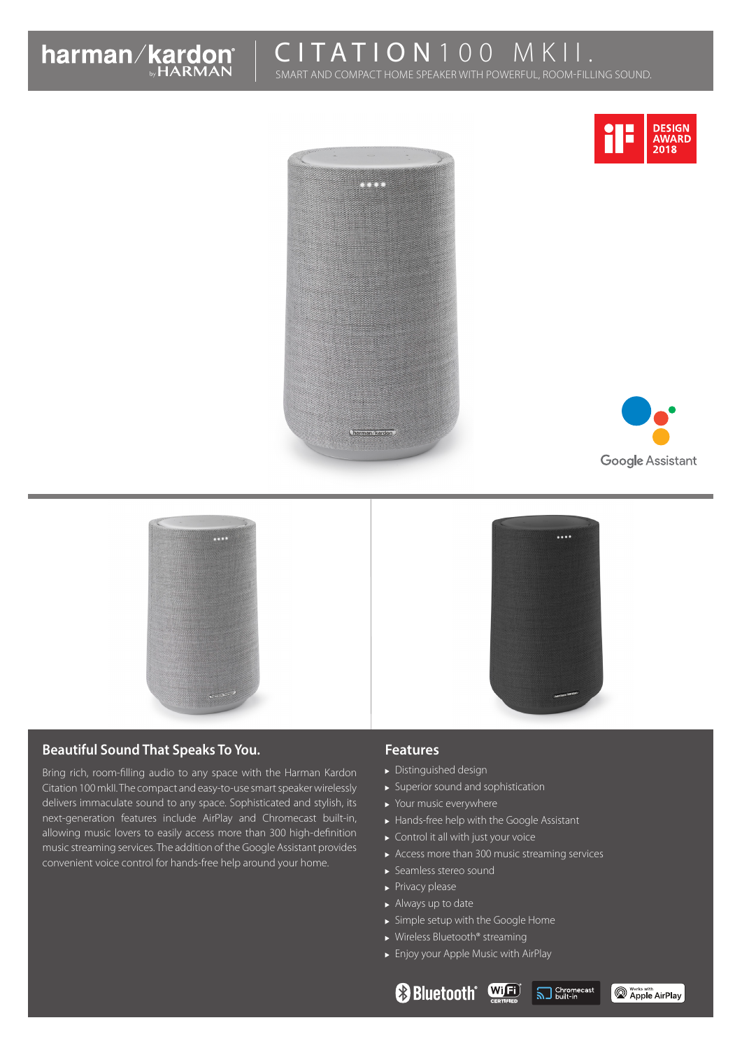

# CITATION 100 MKI

SMART AND COMPACT HOME SPEAKER WITH POWERFUL, ROOM-FILLING SOUND.







 $\cdots$ 



# **Beautiful Sound That Speaks To You.**

Bring rich, room-filling audio to any space with the Harman Kardon Citation 100 mkII. The compact and easy-to-use smart speaker wirelessly delivers immaculate sound to any space. Sophisticated and stylish, its next-generation features include AirPlay and Chromecast built-in, allowing music lovers to easily access more than 300 high-definition music streaming services. The addition of the Google Assistant provides convenient voice control for hands-free help around your home.

#### **Features**

- Distinguished design
- Superior sound and sophistication
- ▶ Your music everywhere
- Hands-free help with the Google Assistant
- ▶ Control it all with just your voice
- Access more than 300 music streaming services

**Bluetooth Wifej SJ** Shromecast

- Seamless stereo sound
- $\blacktriangleright$  Privacy please
- Always up to date
- Simple setup with the Google Home
- ▶ Wireless Bluetooth<sup>®</sup> streaming
- Enjoy your Apple Music with AirPlay